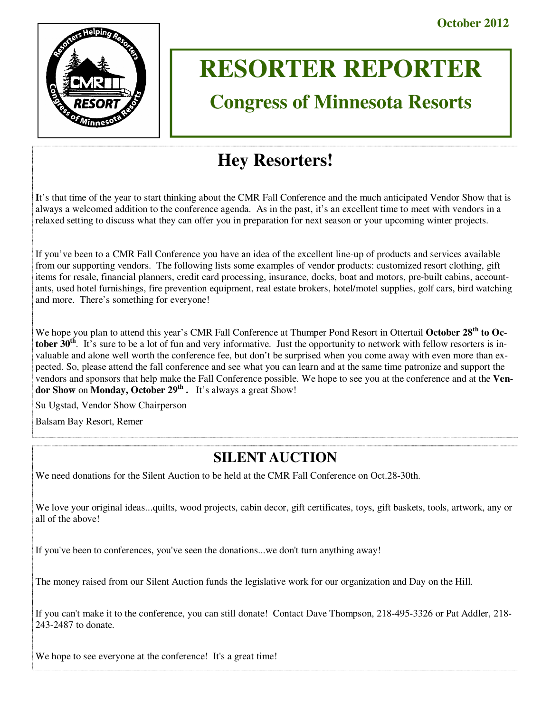

# **RESORTER REPORTER**

# **Congress of Minnesota Resorts**

# **Hey Resorters!**

**I**t's that time of the year to start thinking about the CMR Fall Conference and the much anticipated Vendor Show that is always a welcomed addition to the conference agenda. As in the past, it's an excellent time to meet with vendors in a relaxed setting to discuss what they can offer you in preparation for next season or your upcoming winter projects.

If you've been to a CMR Fall Conference you have an idea of the excellent line-up of products and services available from our supporting vendors. The following lists some examples of vendor products: customized resort clothing, gift items for resale, financial planners, credit card processing, insurance, docks, boat and motors, pre-built cabins, accountants, used hotel furnishings, fire prevention equipment, real estate brokers, hotel/motel supplies, golf cars, bird watching and more. There's something for everyone!

We hope you plan to attend this year's CMR Fall Conference at Thumper Pond Resort in Ottertail **October 28th to October 30<sup>th</sup>**. It's sure to be a lot of fun and very informative. Just the opportunity to network with fellow resorters is invaluable and alone well worth the conference fee, but don't be surprised when you come away with even more than expected. So, please attend the fall conference and see what you can learn and at the same time patronize and support the vendors and sponsors that help make the Fall Conference possible. We hope to see you at the conference and at the **Vendor Show** on **Monday, October 29th .** It's always a great Show!

Su Ugstad, Vendor Show Chairperson

Balsam Bay Resort, Remer

# **SILENT AUCTION**

We need donations for the Silent Auction to be held at the CMR Fall Conference on Oct.28-30th.

We love your original ideas...quilts, wood projects, cabin decor, gift certificates, toys, gift baskets, tools, artwork, any or all of the above!

If you've been to conferences, you've seen the donations...we don't turn anything away!

The money raised from our Silent Auction funds the legislative work for our organization and Day on the Hill.

If you can't make it to the conference, you can still donate! Contact Dave Thompson, 218-495-3326 or Pat Addler, 218- 243-2487 to donate.

We hope to see everyone at the conference! It's a great time!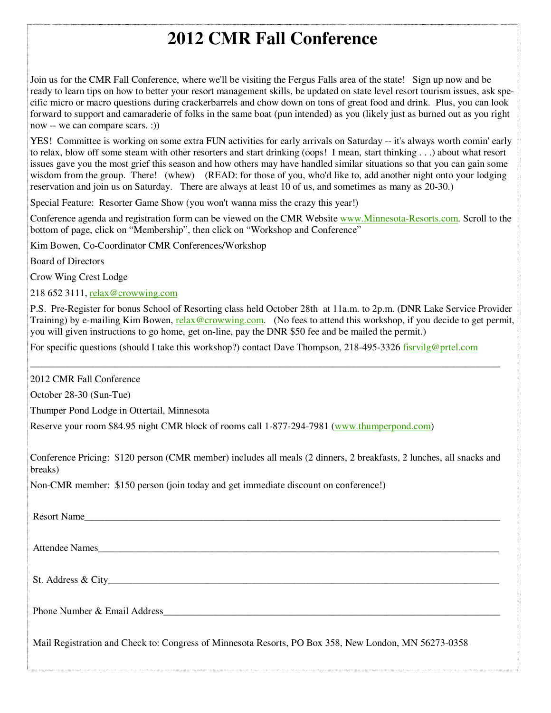# **2012 CMR Fall Conference**

Join us for the CMR Fall Conference, where we'll be visiting the Fergus Falls area of the state! Sign up now and be ready to learn tips on how to better your resort management skills, be updated on state level resort tourism issues, ask specific micro or macro questions during crackerbarrels and chow down on tons of great food and drink. Plus, you can look forward to support and camaraderie of folks in the same boat (pun intended) as you (likely just as burned out as you right now -- we can compare scars. :))

YES! Committee is working on some extra FUN activities for early arrivals on Saturday -- it's always worth comin' early to relax, blow off some steam with other resorters and start drinking (oops! I mean, start thinking . . .) about what resort issues gave you the most grief this season and how others may have handled similar situations so that you can gain some wisdom from the group. There! (whew) (READ: for those of you, who'd like to, add another night onto your lodging reservation and join us on Saturday. There are always at least 10 of us, and sometimes as many as 20-30.)

Special Feature: Resorter Game Show (you won't wanna miss the crazy this year!)

Conference agenda and registration form can be viewed on the CMR Website www.Minnesota-Resorts.com. Scroll to the bottom of page, click on "Membership", then click on "Workshop and Conference"

Kim Bowen, Co-Coordinator CMR Conferences/Workshop

Board of Directors

Crow Wing Crest Lodge

218 652 3111, relax@crowwing.com

P.S. Pre-Register for bonus School of Resorting class held October 28th at 11a.m. to 2p.m. (DNR Lake Service Provider Training) by e-mailing Kim Bowen, relax@crowwing.com. (No fees to attend this workshop, if you decide to get permit, you will given instructions to go home, get on-line, pay the DNR \$50 fee and be mailed the permit.)

\_\_\_\_\_\_\_\_\_\_\_\_\_\_\_\_\_\_\_\_\_\_\_\_\_\_\_\_\_\_\_\_\_\_\_\_\_\_\_\_\_\_\_\_\_\_\_\_\_\_\_\_\_\_\_\_\_\_\_\_\_\_\_\_\_\_\_\_\_\_\_\_\_\_\_\_\_\_\_\_\_\_\_\_\_\_\_\_\_\_\_\_\_\_\_

For specific questions (should I take this workshop?) contact Dave Thompson, 218-495-3326 fisrvilg@prtel.com

2012 CMR Fall Conference

October 28-30 (Sun-Tue)

Thumper Pond Lodge in Ottertail, Minnesota

Reserve your room \$84.95 night CMR block of rooms call 1-877-294-7981 (www.thumperpond.com)

Conference Pricing: \$120 person (CMR member) includes all meals (2 dinners, 2 breakfasts, 2 lunches, all snacks and breaks)

Non-CMR member: \$150 person (join today and get immediate discount on conference!)

| Resort Name                                                                                          |
|------------------------------------------------------------------------------------------------------|
| Attendee Names                                                                                       |
|                                                                                                      |
|                                                                                                      |
| Mail Registration and Check to: Congress of Minnesota Resorts, PO Box 358, New London, MN 56273-0358 |
|                                                                                                      |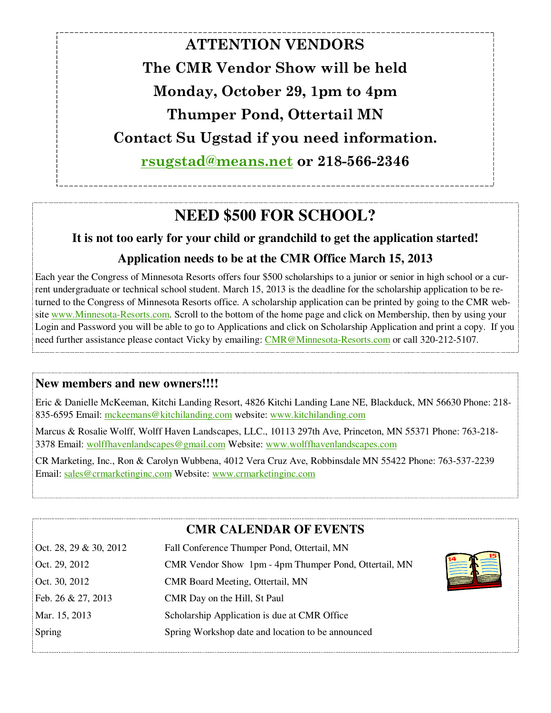**ATTENTION VENDORS The CMR Vendor Show will be held Monday, October 29, 1pm to 4pm Thumper Pond, Ottertail MN Contact Su Ugstad if you need information. rsugstad@means.net or 218-566-2346** 

# **NEED \$500 FOR SCHOOL?**

# **It is not too early for your child or grandchild to get the application started! Application needs to be at the CMR Office March 15, 2013**

Each year the Congress of Minnesota Resorts offers four \$500 scholarships to a junior or senior in high school or a current undergraduate or technical school student. March 15, 2013 is the deadline for the scholarship application to be returned to the Congress of Minnesota Resorts office. A scholarship application can be printed by going to the CMR website www.Minnesota-Resorts.com. Scroll to the bottom of the home page and click on Membership, then by using your Login and Password you will be able to go to Applications and click on Scholarship Application and print a copy. If you need further assistance please contact Vicky by emailing: CMR@Minnesota-Resorts.com or call 320-212-5107.

### **New members and new owners!!!!**

Eric & Danielle McKeeman, Kitchi Landing Resort, 4826 Kitchi Landing Lane NE, Blackduck, MN 56630 Phone: 218- 835-6595 Email: mckeemans@kitchilanding.com website: www.kitchilanding.com

Marcus & Rosalie Wolff, Wolff Haven Landscapes, LLC., 10113 297th Ave, Princeton, MN 55371 Phone: 763-218- 3378 Email: wolffhavenlandscapes@gmail.com Website: www.wolffhavenlandscapes.com

CR Marketing, Inc., Ron & Carolyn Wubbena, 4012 Vera Cruz Ave, Robbinsdale MN 55422 Phone: 763-537-2239 Email: sales@crmarketinginc.com Website: www.crmarketinginc.com

### **CMR CALENDAR OF EVENTS**

| Oct. 28, 29 & 30, 2012 | Fall Conference Thumper Pond, Ottertail, MN                           |
|------------------------|-----------------------------------------------------------------------|
| Oct. 29, 2012          | <b>THEFT</b><br>CMR Vendor Show 1pm - 4pm Thumper Pond, Ottertail, MN |
| Oct. 30, 2012          | CMR Board Meeting, Ottertail, MN                                      |
| Feb. 26 & 27, 2013     | CMR Day on the Hill, St Paul                                          |
| Mar. 15, 2013          | Scholarship Application is due at CMR Office                          |
| Spring                 | Spring Workshop date and location to be announced                     |
|                        |                                                                       |